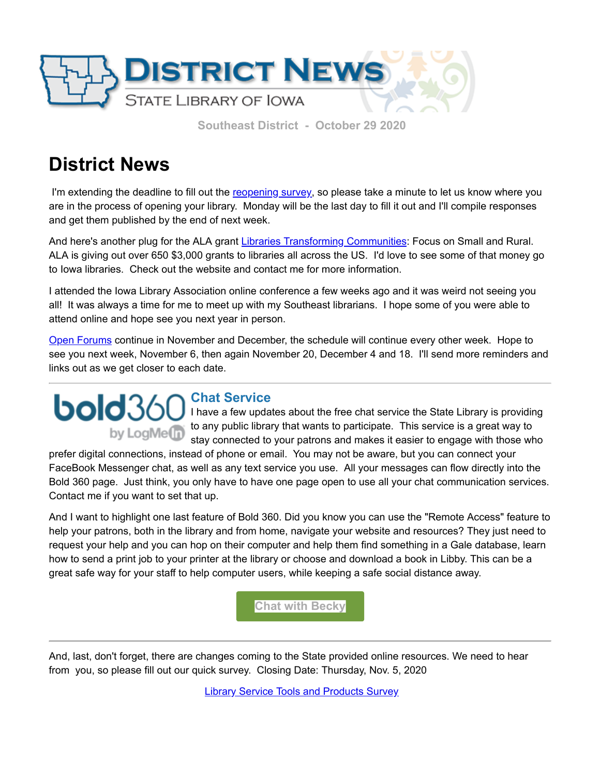

 **Southeast District - October 29 2020**

## **District News**

I'm extending the deadline to fill out the [reopening survey,](https://forms.gle/w3pBwQxL1YXQZ4v3A?utm_medium=email&utm_source=govdelivery) so please take a minute to let us know where you are in the process of opening your library. Monday will be the last day to fill it out and I'll compile responses and get them published by the end of next week.

And here's another plug for the ALA grant *[Libraries Transforming Communities](http://www.ala.org/tools/librariestransform/libraries-transforming-communities/focusgrants?utm_medium=email&utm_source=govdelivery)*: Focus on Small and Rural. ALA is giving out over 650 \$3,000 grants to libraries all across the US. I'd love to see some of that money go to Iowa libraries. Check out the website and contact me for more information.

I attended the Iowa Library Association online conference a few weeks ago and it was weird not seeing you all! It was always a time for me to meet up with my Southeast librarians. I hope some of you were able to attend online and hope see you next year in person.

[Open Forums](https://zoom.us/j/4091922361?pwd=UlV4dW9DSU11V3BWSi9Oa1IrYnlGQT09&utm_medium=email&utm_source=govdelivery) continue in November and December, the schedule will continue every other week. Hope to see you next week, November 6, then again November 20, December 4 and 18. I'll send more reminders and links out as we get closer to each date.

## **Chat Service bold**36 by LogMe<sup>n</sup>

I have a few updates about the free chat service the State Library is providing to any public library that wants to participate. This service is a great way to stay connected to your patrons and makes it easier to engage with those who

prefer digital connections, instead of phone or email. You may not be aware, but you can connect your FaceBook Messenger chat, as well as any text service you use. All your messages can flow directly into the Bold 360 page. Just think, you only have to have one page open to use all your chat communication services. Contact me if you want to set that up.

And I want to highlight one last feature of Bold 360. Did you know you can use the "Remote Access" feature to help your patrons, both in the library and from home, navigate your website and resources? They just need to request your help and you can hop on their computer and help them find something in a Gale database, learn how to send a print job to your printer at the library or choose and download a book in Libby. This can be a great safe way for your staff to help computer users, while keeping a safe social distance away.

**[Chat with Becky](https://www.statelibraryofiowa.org/contact-us/people/bheil?utm_medium=email&utm_source=govdelivery)**

And, last, don't forget, there are changes coming to the State provided online resources. We need to hear from you, so please fill out our quick survey. Closing Date: Thursday, Nov. 5, 2020

**[Library Service Tools and Products Survey](https://docs.google.com/forms/d/e/1FAIpQLSc84jeYVjF48tlHWuOiRv8YlCv5njFxd6GOZoPAlwcqjPrIKQ/viewform?utm_medium=email&utm_source=govdelivery)**